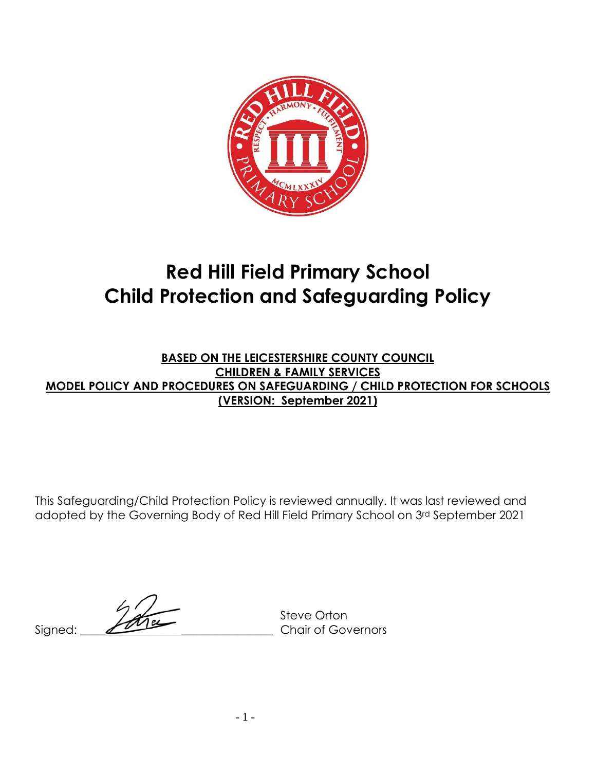

# **Red Hill Field Primary School Child Protection and Safeguarding Policy**

# **BASED ON THE LEICESTERSHIRE COUNTY COUNCIL CHILDREN & FAMILY SERVICES MODEL POLICY AND PROCEDURES ON SAFEGUARDING / CHILD PROTECTION FOR SCHOOLS (VERSION: September 2021)**

This Safeguarding/Child Protection Policy is reviewed annually. It was last reviewed and adopted by the Governing Body of Red Hill Field Primary School on 3rd September 2021

Steve Orton Signed: 2014 Steve Orton<br>
Signed: 2014 Chair of Governors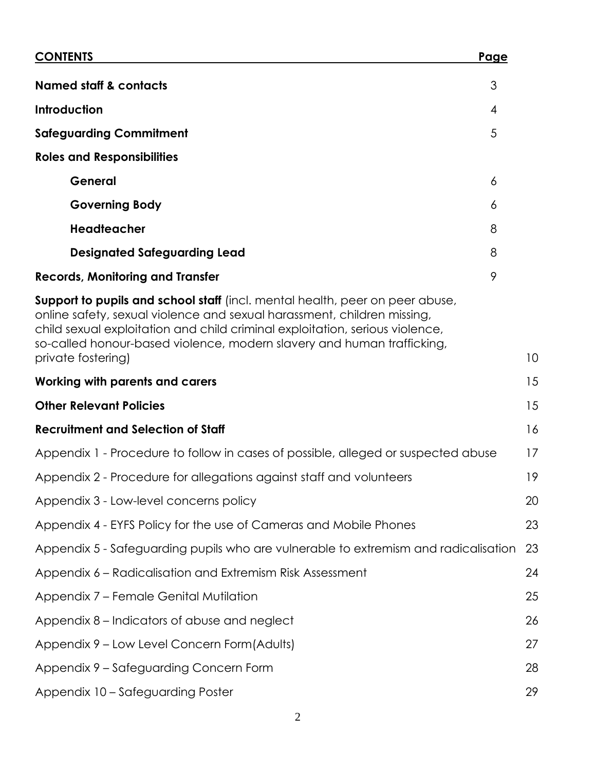| <b>CONTENTS</b>                                                                                                                                                                                                                                                                                                                                | Page |
|------------------------------------------------------------------------------------------------------------------------------------------------------------------------------------------------------------------------------------------------------------------------------------------------------------------------------------------------|------|
| <b>Named staff &amp; contacts</b>                                                                                                                                                                                                                                                                                                              | 3    |
| Introduction                                                                                                                                                                                                                                                                                                                                   | 4    |
| <b>Safeguarding Commitment</b>                                                                                                                                                                                                                                                                                                                 | 5    |
| <b>Roles and Responsibilities</b>                                                                                                                                                                                                                                                                                                              |      |
| General                                                                                                                                                                                                                                                                                                                                        | 6    |
| <b>Governing Body</b>                                                                                                                                                                                                                                                                                                                          | 6    |
| <b>Headteacher</b>                                                                                                                                                                                                                                                                                                                             | 8    |
| <b>Designated Safeguarding Lead</b>                                                                                                                                                                                                                                                                                                            | 8    |
| <b>Records, Monitoring and Transfer</b>                                                                                                                                                                                                                                                                                                        | 9    |
| <b>Support to pupils and school staff</b> (incl. mental health, peer on peer abuse,<br>online safety, sexual violence and sexual harassment, children missing,<br>child sexual exploitation and child criminal exploitation, serious violence,<br>so-called honour-based violence, modern slavery and human trafficking,<br>private fostering) | 10   |
| Working with parents and carers                                                                                                                                                                                                                                                                                                                | 15   |
| <b>Other Relevant Policies</b>                                                                                                                                                                                                                                                                                                                 | 15   |
| <b>Recruitment and Selection of Staff</b>                                                                                                                                                                                                                                                                                                      | 16   |
| Appendix 1 - Procedure to follow in cases of possible, alleged or suspected abuse                                                                                                                                                                                                                                                              | 17   |
| Appendix 2 - Procedure for allegations against staff and volunteers                                                                                                                                                                                                                                                                            | 19   |
| Appendix 3 - Low-level concerns policy                                                                                                                                                                                                                                                                                                         | 20   |
| Appendix 4 - EYFS Policy for the use of Cameras and Mobile Phones                                                                                                                                                                                                                                                                              | 23   |
| Appendix 5 - Safeguarding pupils who are vulnerable to extremism and radicalisation                                                                                                                                                                                                                                                            | 23   |
| Appendix 6 - Radicalisation and Extremism Risk Assessment                                                                                                                                                                                                                                                                                      | 24   |
| Appendix 7 – Female Genital Mutilation                                                                                                                                                                                                                                                                                                         | 25   |
| Appendix 8 – Indicators of abuse and neglect                                                                                                                                                                                                                                                                                                   | 26   |
| Appendix 9 – Low Level Concern Form (Adults)                                                                                                                                                                                                                                                                                                   | 27   |
| Appendix 9 - Safeguarding Concern Form                                                                                                                                                                                                                                                                                                         | 28   |
| Appendix 10 - Safeguarding Poster                                                                                                                                                                                                                                                                                                              | 29   |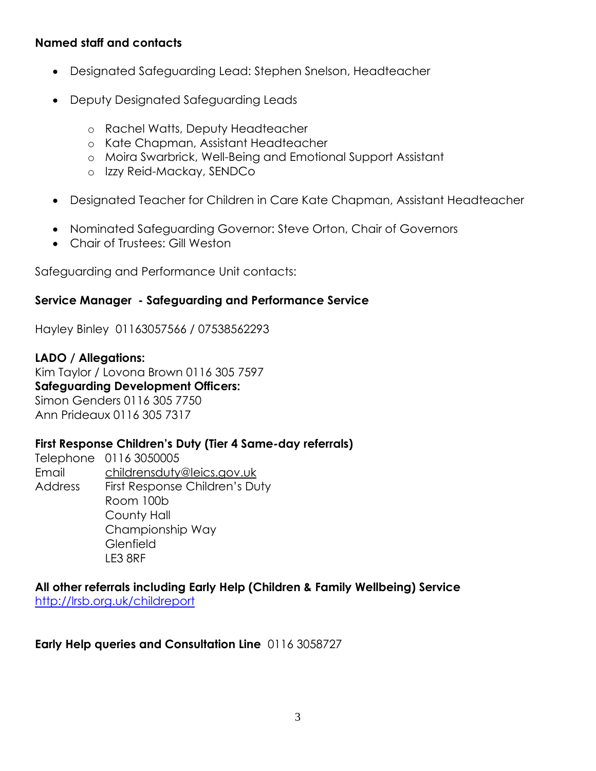#### **Named staff and contacts**

- Designated Safeguarding Lead: Stephen Snelson, Headteacher
- Deputy Designated Safeguarding Leads
	- o Rachel Watts, Deputy Headteacher
	- o Kate Chapman, Assistant Headteacher
	- o Moira Swarbrick, Well-Being and Emotional Support Assistant
	- o Izzy Reid-Mackay, SENDCo
- Designated Teacher for Children in Care Kate Chapman, Assistant Headteacher
- Nominated Safeguarding Governor: Steve Orton, Chair of Governors
- Chair of Trustees: Gill Weston

Safeguarding and Performance Unit contacts:

#### **Service Manager - Safeguarding and Performance Service**

Hayley Binley 01163057566 / 07538562293

#### **LADO / Allegations:**

Kim Taylor / Lovona Brown 0116 305 7597

#### **Safeguarding Development Officers:**

Simon Genders 0116 305 7750 Ann Prideaux 0116 305 7317

#### **First Response Children's Duty (Tier 4 Same-day referrals)**

Telephone 0116 3050005 Email [childrensduty@leics.gov.uk](mailto:childrensduty@leics.gov.uk) Address First Response Children's Duty Room 100b County Hall Championship Way **Glenfield** LE3 8RF

#### **All other referrals including Early Help (Children & Family Wellbeing) Service** <http://lrsb.org.uk/childreport>

**Early Help queries and Consultation Line** 0116 3058727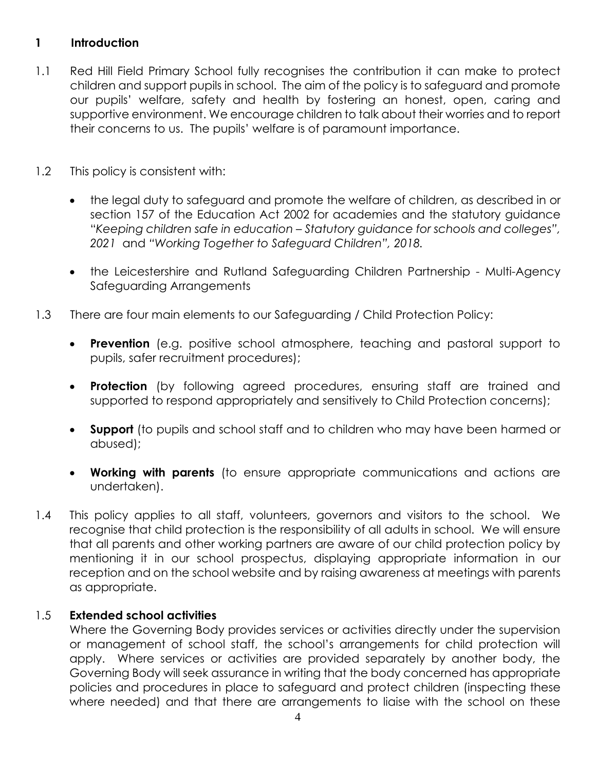# **1 Introduction**

- 1.1 Red Hill Field Primary School fully recognises the contribution it can make to protect children and support pupils in school. The aim of the policy is to safeguard and promote our pupils' welfare, safety and health by fostering an honest, open, caring and supportive environment. We encourage children to talk about their worries and to report their concerns to us. The pupils' welfare is of paramount importance.
- 1.2 This policy is consistent with:
	- the legal duty to safeguard and promote the welfare of children, as described in or section 157 of the Education Act 2002 for academies and the statutory guidance "*Keeping children safe in education – Statutory guidance for schools and colleges", 2021* and *"Working Together to Safeguard Children", 2018.*
	- the Leicestershire and Rutland Safeguarding Children Partnership Multi-Agency Safeguarding Arrangements
- 1.3 There are four main elements to our Safeguarding / Child Protection Policy:
	- **Prevention** (e.g. positive school atmosphere, teaching and pastoral support to pupils, safer recruitment procedures);
	- **Protection** (by following agreed procedures, ensuring staff are trained and supported to respond appropriately and sensitively to Child Protection concerns);
	- **Support** (to pupils and school staff and to children who may have been harmed or abused);
	- **Working with parents** (to ensure appropriate communications and actions are undertaken).
- 1.4 This policy applies to all staff, volunteers, governors and visitors to the school. We recognise that child protection is the responsibility of all adults in school. We will ensure that all parents and other working partners are aware of our child protection policy by mentioning it in our school prospectus, displaying appropriate information in our reception and on the school website and by raising awareness at meetings with parents as appropriate.

#### 1.5 **Extended school activities**

Where the Governing Body provides services or activities directly under the supervision or management of school staff, the school's arrangements for child protection will apply. Where services or activities are provided separately by another body, the Governing Body will seek assurance in writing that the body concerned has appropriate policies and procedures in place to safeguard and protect children (inspecting these where needed) and that there are arrangements to liaise with the school on these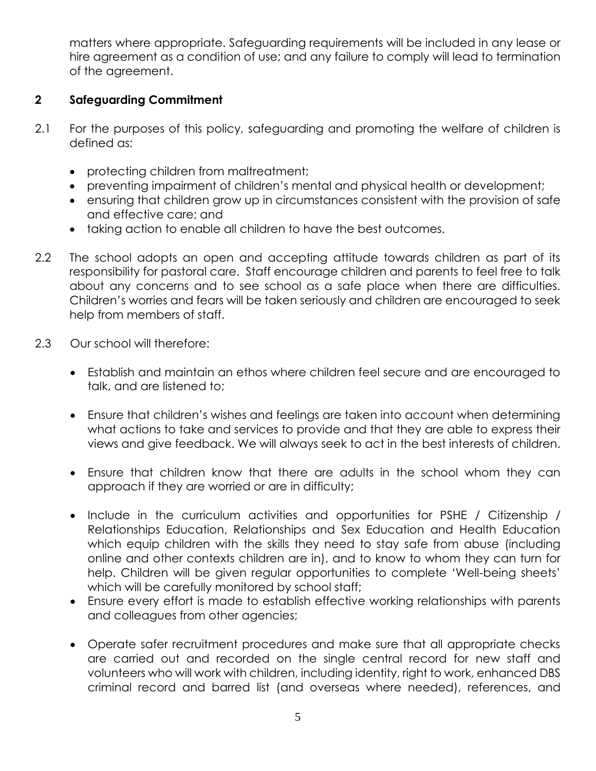matters where appropriate. Safeguarding requirements will be included in any lease or hire agreement as a condition of use; and any failure to comply will lead to termination of the agreement.

#### **2 Safeguarding Commitment**

- 2.1 For the purposes of this policy, safeguarding and promoting the welfare of children is defined as:
	- protecting children from maltreatment;
	- preventing impairment of children's mental and physical health or development;
	- ensuring that children grow up in circumstances consistent with the provision of safe and effective care; and
	- taking action to enable all children to have the best outcomes.
- 2.2 The school adopts an open and accepting attitude towards children as part of its responsibility for pastoral care. Staff encourage children and parents to feel free to talk about any concerns and to see school as a safe place when there are difficulties. Children's worries and fears will be taken seriously and children are encouraged to seek help from members of staff.
- 2.3 Our school will therefore:
	- Establish and maintain an ethos where children feel secure and are encouraged to talk, and are listened to;
	- Ensure that children's wishes and feelings are taken into account when determining what actions to take and services to provide and that they are able to express their views and give feedback. We will always seek to act in the best interests of children.
	- Ensure that children know that there are adults in the school whom they can approach if they are worried or are in difficulty;
	- Include in the curriculum activities and opportunities for PSHE / Citizenship / Relationships Education, Relationships and Sex Education and Health Education which equip children with the skills they need to stay safe from abuse (including online and other contexts children are in), and to know to whom they can turn for help. Children will be given regular opportunities to complete 'Well-being sheets' which will be carefully monitored by school staff;
	- Ensure every effort is made to establish effective working relationships with parents and colleagues from other agencies;
	- Operate safer recruitment procedures and make sure that all appropriate checks are carried out and recorded on the single central record for new staff and volunteers who will work with children, including identity, right to work, enhanced DBS criminal record and barred list (and overseas where needed), references, and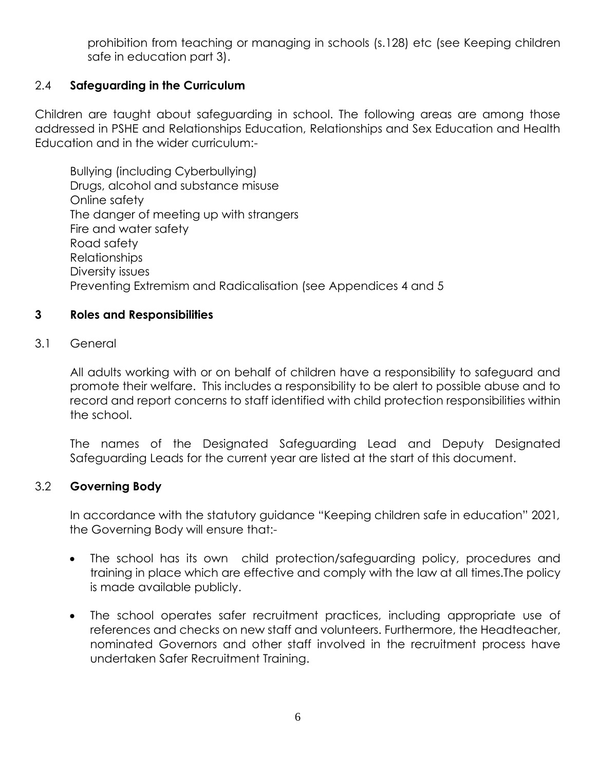prohibition from teaching or managing in schools (s.128) etc (see Keeping children safe in education part 3).

#### 2.4 **Safeguarding in the Curriculum**

Children are taught about safeguarding in school. The following areas are among those addressed in PSHE and Relationships Education, Relationships and Sex Education and Health Education and in the wider curriculum:-

Bullying (including Cyberbullying) Drugs, alcohol and substance misuse Online safety The danger of meeting up with strangers Fire and water safety Road safety Relationships Diversity issues Preventing Extremism and Radicalisation (see Appendices 4 and 5

#### **3 Roles and Responsibilities**

#### 3.1 General

All adults working with or on behalf of children have a responsibility to safeguard and promote their welfare. This includes a responsibility to be alert to possible abuse and to record and report concerns to staff identified with child protection responsibilities within the school.

The names of the Designated Safeguarding Lead and Deputy Designated Safeguarding Leads for the current year are listed at the start of this document.

#### 3.2 **Governing Body**

In accordance with the statutory guidance "Keeping children safe in education" 2021*,*  the Governing Body will ensure that:-

- The school has its own child protection/safeguarding policy, procedures and training in place which are effective and comply with the law at all times.The policy is made available publicly.
- The school operates safer recruitment practices, including appropriate use of references and checks on new staff and volunteers. Furthermore, the Headteacher, nominated Governors and other staff involved in the recruitment process have undertaken Safer Recruitment Training.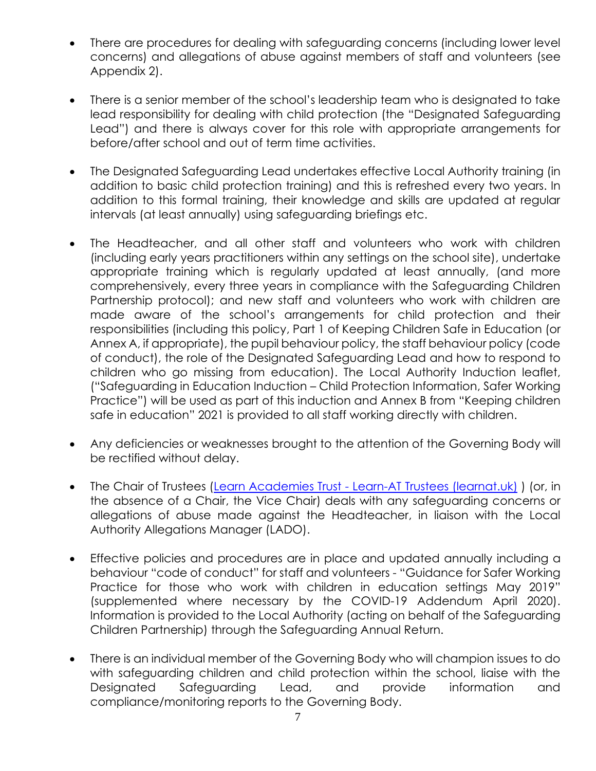- There are procedures for dealing with safeguarding concerns (including lower level concerns) and allegations of abuse against members of staff and volunteers (see Appendix 2).
- There is a senior member of the school's leadership team who is designated to take lead responsibility for dealing with child protection (the "Designated Safeguarding Lead") and there is always cover for this role with appropriate arrangements for before/after school and out of term time activities.
- The Designated Safeguarding Lead undertakes effective Local Authority training (in addition to basic child protection training) and this is refreshed every two years. In addition to this formal training, their knowledge and skills are updated at regular intervals (at least annually) using safeguarding briefings etc.
- The Headteacher, and all other staff and volunteers who work with children (including early years practitioners within any settings on the school site), undertake appropriate training which is regularly updated at least annually, (and more comprehensively, every three years in compliance with the Safeguarding Children Partnership protocol); and new staff and volunteers who work with children are made aware of the school's arrangements for child protection and their responsibilities (including this policy, Part 1 of Keeping Children Safe in Education (or Annex A, if appropriate), the pupil behaviour policy, the staff behaviour policy (code of conduct), the role of the Designated Safeguarding Lead and how to respond to children who go missing from education). The Local Authority Induction leaflet, ("Safeguarding in Education Induction – Child Protection Information, Safer Working Practice") will be used as part of this induction and Annex B from "Keeping children safe in education" 2021 is provided to all staff working directly with children.
- Any deficiencies or weaknesses brought to the attention of the Governing Body will be rectified without delay.
- The Chair of Trustees (Learn Academies Trust [Learn-AT Trustees \(learnat.uk\)](https://www.learnat.uk/about-learn-at/learn-at-trustees)) (or, in the absence of a Chair, the Vice Chair) deals with any safeguarding concerns or allegations of abuse made against the Headteacher, in liaison with the Local Authority Allegations Manager (LADO).
- Effective policies and procedures are in place and updated annually including a behaviour "code of conduct" for staff and volunteers - "Guidance for Safer Working Practice for those who work with children in education settings May 2019" (supplemented where necessary by the COVID-19 Addendum April 2020). Information is provided to the Local Authority (acting on behalf of the Safeguarding Children Partnership) through the Safeguarding Annual Return.
- There is an individual member of the Governing Body who will champion issues to do with safeguarding children and child protection within the school, liaise with the Designated Safeguarding Lead, and provide information and compliance/monitoring reports to the Governing Body.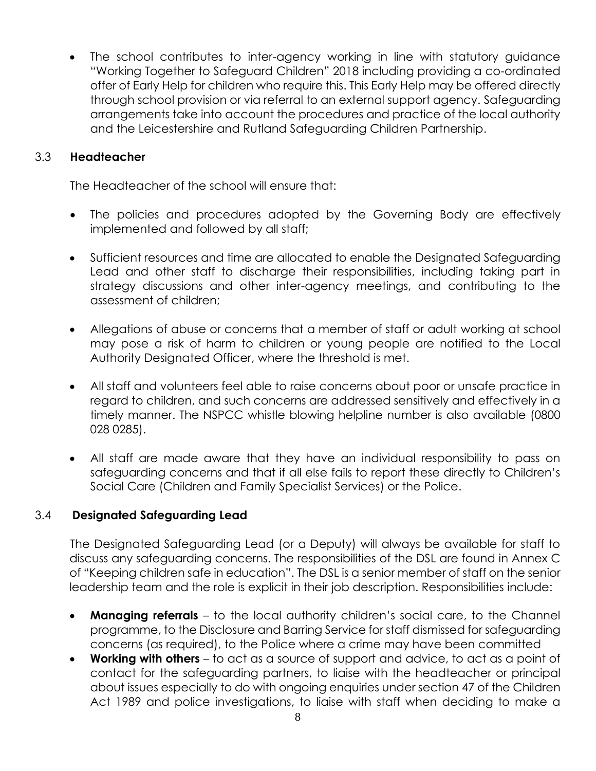The school contributes to inter-agency working in line with statutory guidance "Working Together to Safeguard Children" 2018 including providing a co-ordinated offer of Early Help for children who require this. This Early Help may be offered directly through school provision or via referral to an external support agency. Safeguarding arrangements take into account the procedures and practice of the local authority and the Leicestershire and Rutland Safeguarding Children Partnership.

#### 3.3 **Headteacher**

The Headteacher of the school will ensure that:

- The policies and procedures adopted by the Governing Body are effectively implemented and followed by all staff;
- Sufficient resources and time are allocated to enable the Designated Safeguarding Lead and other staff to discharge their responsibilities, including taking part in strategy discussions and other inter-agency meetings, and contributing to the assessment of children;
- Allegations of abuse or concerns that a member of staff or adult working at school may pose a risk of harm to children or young people are notified to the Local Authority Designated Officer, where the threshold is met.
- All staff and volunteers feel able to raise concerns about poor or unsafe practice in regard to children, and such concerns are addressed sensitively and effectively in a timely manner. The NSPCC whistle blowing helpline number is also available (0800 028 0285).
- All staff are made aware that they have an individual responsibility to pass on safeguarding concerns and that if all else fails to report these directly to Children's Social Care (Children and Family Specialist Services) or the Police.

#### 3.4 **Designated Safeguarding Lead**

The Designated Safeguarding Lead (or a Deputy) will always be available for staff to discuss any safeguarding concerns. The responsibilities of the DSL are found in Annex C of "Keeping children safe in education". The DSL is a senior member of staff on the senior leadership team and the role is explicit in their job description. Responsibilities include:

- **Managing referrals** to the local authority children's social care, to the Channel programme, to the Disclosure and Barring Service for staff dismissed for safeguarding concerns (as required), to the Police where a crime may have been committed
- **Working with others** to act as a source of support and advice, to act as a point of contact for the safeguarding partners, to liaise with the headteacher or principal about issues especially to do with ongoing enquiries under section 47 of the Children Act 1989 and police investigations, to liaise with staff when deciding to make a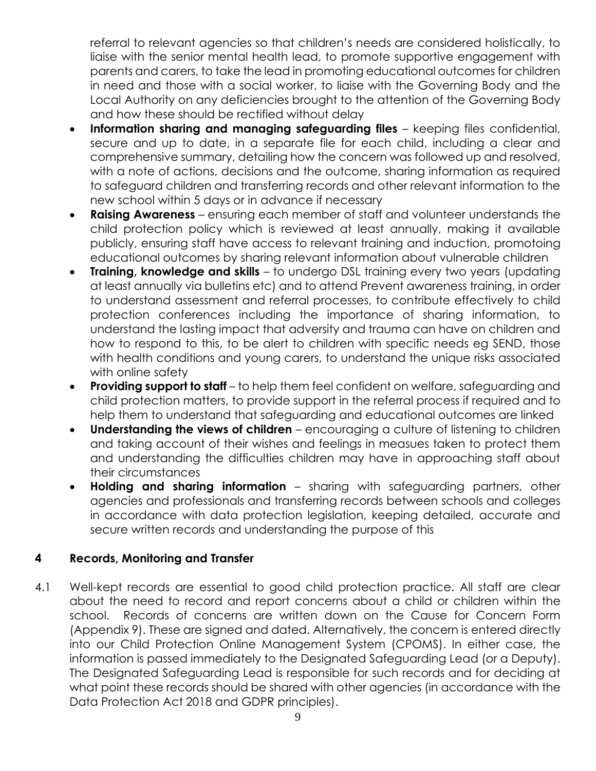referral to relevant agencies so that children's needs are considered holistically, to liaise with the senior mental health lead, to promote supportive engagement with parents and carers, to take the lead in promoting educational outcomes for children in need and those with a social worker, to liaise with the Governing Body and the Local Authority on any deficiencies brought to the attention of the Governing Body and how these should be rectified without delay

- **Information sharing and managing safeguarding files** keeping files confidential, secure and up to date, in a separate file for each child, including a clear and comprehensive summary, detailing how the concern was followed up and resolved, with a note of actions, decisions and the outcome, sharing information as required to safeguard children and transferring records and other relevant information to the new school within 5 days or in advance if necessary
- **Raising Awareness** ensuring each member of staff and volunteer understands the child protection policy which is reviewed at least annually, making it available publicly, ensuring staff have access to relevant training and induction, promotoing educational outcomes by sharing relevant information about vulnerable children
- **Training, knowledge and skills** to undergo DSL training every two years (updating at least annually via bulletins etc) and to attend Prevent awareness training, in order to understand assessment and referral processes, to contribute effectively to child protection conferences including the importance of sharing information, to understand the lasting impact that adversity and trauma can have on children and how to respond to this, to be alert to children with specific needs eg SEND, those with health conditions and young carers, to understand the unique risks associated with online safety
- **Providing support to staff** to help them feel confident on welfare, safeguarding and child protection matters, to provide support in the referral process if required and to help them to understand that safeguarding and educational outcomes are linked
- **Understanding the views of children** encouraging a culture of listening to children and taking account of their wishes and feelings in measues taken to protect them and understanding the difficulties children may have in approaching staff about their circumstances
- **Holding and sharing information** sharing with safeguarding partners, other agencies and professionals and transferring records between schools and colleges in accordance with data protection legislation, keeping detailed, accurate and secure written records and understanding the purpose of this

# **4 Records, Monitoring and Transfer**

4.1 Well-kept records are essential to good child protection practice. All staff are clear about the need to record and report concerns about a child or children within the school. Records of concerns are written down on the Cause for Concern Form (Appendix 9). These are signed and dated. Alternatively, the concern is entered directly into our Child Protection Online Management System (CPOMS). In either case, the information is passed immediately to the Designated Safeguarding Lead (or a Deputy). The Designated Safeguarding Lead is responsible for such records and for deciding at what point these records should be shared with other agencies (in accordance with the Data Protection Act 2018 and GDPR principles).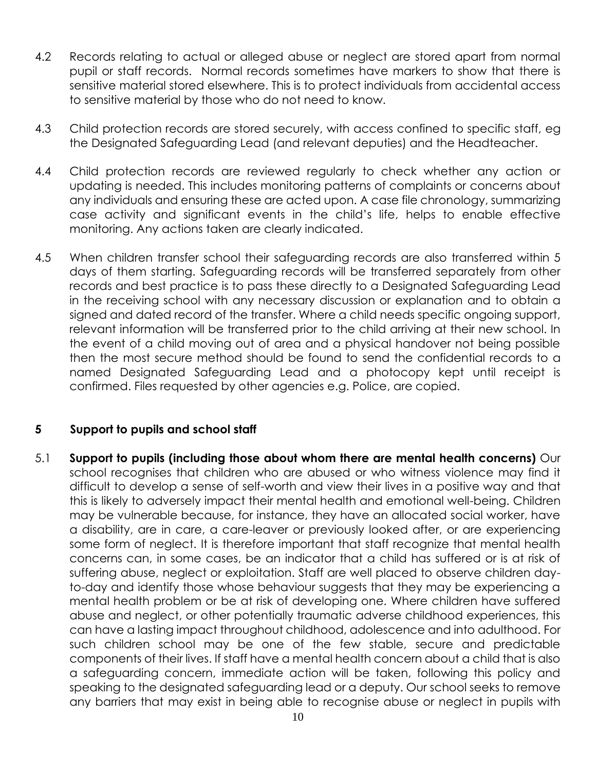- 4.2 Records relating to actual or alleged abuse or neglect are stored apart from normal pupil or staff records. Normal records sometimes have markers to show that there is sensitive material stored elsewhere. This is to protect individuals from accidental access to sensitive material by those who do not need to know.
- 4.3 Child protection records are stored securely, with access confined to specific staff, eg the Designated Safeguarding Lead (and relevant deputies) and the Headteacher.
- 4.4 Child protection records are reviewed regularly to check whether any action or updating is needed. This includes monitoring patterns of complaints or concerns about any individuals and ensuring these are acted upon. A case file chronology, summarizing case activity and significant events in the child's life, helps to enable effective monitoring. Any actions taken are clearly indicated.
- 4.5 When children transfer school their safeguarding records are also transferred within 5 days of them starting. Safeguarding records will be transferred separately from other records and best practice is to pass these directly to a Designated Safeguarding Lead in the receiving school with any necessary discussion or explanation and to obtain a signed and dated record of the transfer. Where a child needs specific ongoing support, relevant information will be transferred prior to the child arriving at their new school. In the event of a child moving out of area and a physical handover not being possible then the most secure method should be found to send the confidential records to a named Designated Safeguarding Lead and a photocopy kept until receipt is confirmed. Files requested by other agencies e.g. Police, are copied.

#### **5 Support to pupils and school staff**

5.1 **Support to pupils (including those about whom there are mental health concerns)** Our school recognises that children who are abused or who witness violence may find it difficult to develop a sense of self-worth and view their lives in a positive way and that this is likely to adversely impact their mental health and emotional well-being. Children may be vulnerable because, for instance, they have an allocated social worker, have a disability, are in care, a care-leaver or previously looked after, or are experiencing some form of neglect. It is therefore important that staff recognize that mental health concerns can, in some cases, be an indicator that a child has suffered or is at risk of suffering abuse, neglect or exploitation. Staff are well placed to observe children dayto-day and identify those whose behaviour suggests that they may be experiencing a mental health problem or be at risk of developing one. Where children have suffered abuse and neglect, or other potentially traumatic adverse childhood experiences, this can have a lasting impact throughout childhood, adolescence and into adulthood. For such children school may be one of the few stable, secure and predictable components of their lives. If staff have a mental health concern about a child that is also a safeguarding concern, immediate action will be taken, following this policy and speaking to the designated safeguarding lead or a deputy. Our school seeks to remove any barriers that may exist in being able to recognise abuse or neglect in pupils with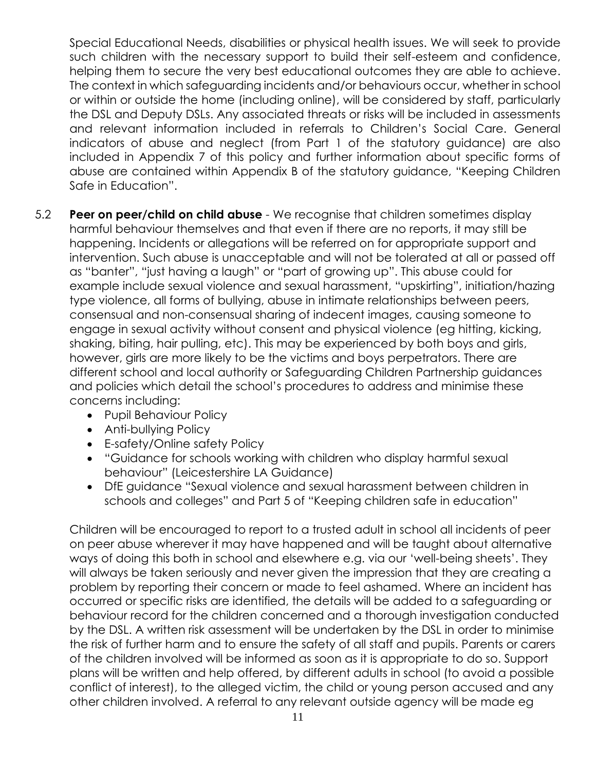Special Educational Needs, disabilities or physical health issues. We will seek to provide such children with the necessary support to build their self-esteem and confidence, helping them to secure the very best educational outcomes they are able to achieve. The context in which safeguarding incidents and/or behaviours occur, whether in school or within or outside the home (including online), will be considered by staff, particularly the DSL and Deputy DSLs. Any associated threats or risks will be included in assessments and relevant information included in referrals to Children's Social Care. General indicators of abuse and neglect (from Part 1 of the statutory guidance) are also included in Appendix 7 of this policy and further information about specific forms of abuse are contained within Appendix B of the statutory guidance, "Keeping Children Safe in Education".

- 5.2 **Peer on peer/child on child abuse** We recognise that children sometimes display harmful behaviour themselves and that even if there are no reports, it may still be happening. Incidents or allegations will be referred on for appropriate support and intervention. Such abuse is unacceptable and will not be tolerated at all or passed off as "banter", "just having a laugh" or "part of growing up". This abuse could for example include sexual violence and sexual harassment, "upskirting", initiation/hazing type violence, all forms of bullying, abuse in intimate relationships between peers, consensual and non-consensual sharing of indecent images, causing someone to engage in sexual activity without consent and physical violence (eg hitting, kicking, shaking, biting, hair pulling, etc). This may be experienced by both boys and girls, however, girls are more likely to be the victims and boys perpetrators. There are different school and local authority or Safeguarding Children Partnership guidances and policies which detail the school's procedures to address and minimise these concerns including:
	- Pupil Behaviour Policy
	- Anti-bullying Policy
	- E-safety/Online safety Policy
	- "Guidance for schools working with children who display harmful sexual behaviour" (Leicestershire LA Guidance)
	- DfE guidance "Sexual violence and sexual harassment between children in schools and colleges" and Part 5 of "Keeping children safe in education"

Children will be encouraged to report to a trusted adult in school all incidents of peer on peer abuse wherever it may have happened and will be taught about alternative ways of doing this both in school and elsewhere e.g. via our 'well-being sheets'. They will always be taken seriously and never given the impression that they are creating a problem by reporting their concern or made to feel ashamed. Where an incident has occurred or specific risks are identified, the details will be added to a safeguarding or behaviour record for the children concerned and a thorough investigation conducted by the DSL. A written risk assessment will be undertaken by the DSL in order to minimise the risk of further harm and to ensure the safety of all staff and pupils. Parents or carers of the children involved will be informed as soon as it is appropriate to do so. Support plans will be written and help offered, by different adults in school (to avoid a possible conflict of interest), to the alleged victim, the child or young person accused and any other children involved. A referral to any relevant outside agency will be made eg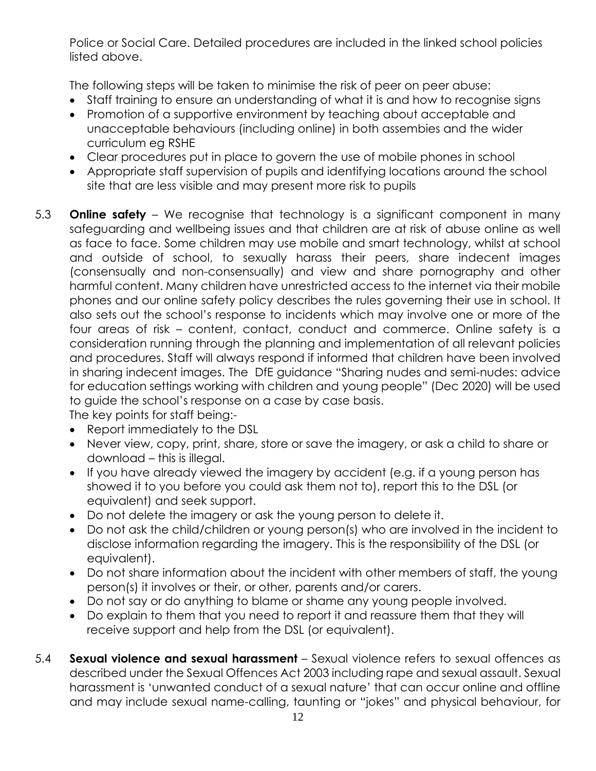Police or Social Care. Detailed procedures are included in the linked school policies listed above.

The following steps will be taken to minimise the risk of peer on peer abuse:

- Staff training to ensure an understanding of what it is and how to recognise signs
- Promotion of a supportive environment by teaching about acceptable and unacceptable behaviours (including online) in both assembies and the wider curriculum eg RSHE
- Clear procedures put in place to govern the use of mobile phones in school
- Appropriate staff supervision of pupils and identifying locations around the school site that are less visible and may present more risk to pupils
- 5.3 **Online safety**  We recognise that technology is a significant component in many safeguarding and wellbeing issues and that children are at risk of abuse online as well as face to face. Some children may use mobile and smart technology, whilst at school and outside of school, to sexually harass their peers, share indecent images (consensually and non-consensually) and view and share pornography and other harmful content. Many children have unrestricted access to the internet via their mobile phones and our online safety policy describes the rules governing their use in school. It also sets out the school's response to incidents which may involve one or more of the four areas of risk – content, contact, conduct and commerce. Online safety is a consideration running through the planning and implementation of all relevant policies and procedures. Staff will always respond if informed that children have been involved in sharing indecent images. The DfE guidance "Sharing nudes and semi-nudes: advice for education settings working with children and young people" (Dec 2020) will be used to guide the school's response on a case by case basis.

The key points for staff being:-

- Report immediately to the DSL
- Never view, copy, print, share, store or save the imagery, or ask a child to share or download – this is illegal.
- If you have already viewed the imagery by accident (e.g. if a young person has showed it to you before you could ask them not to), report this to the DSL (or equivalent) and seek support.
- Do not delete the imagery or ask the young person to delete it.
- Do not ask the child/children or young person(s) who are involved in the incident to disclose information regarding the imagery. This is the responsibility of the DSL (or equivalent).
- Do not share information about the incident with other members of staff, the young person(s) it involves or their, or other, parents and/or carers.
- Do not say or do anything to blame or shame any young people involved.
- Do explain to them that you need to report it and reassure them that they will receive support and help from the DSL (or equivalent).
- 5.4 **Sexual violence and sexual harassment** Sexual violence refers to sexual offences as described under the Sexual Offences Act 2003 including rape and sexual assault. Sexual harassment is 'unwanted conduct of a sexual nature' that can occur online and offline and may include sexual name-calling, taunting or "jokes" and physical behaviour, for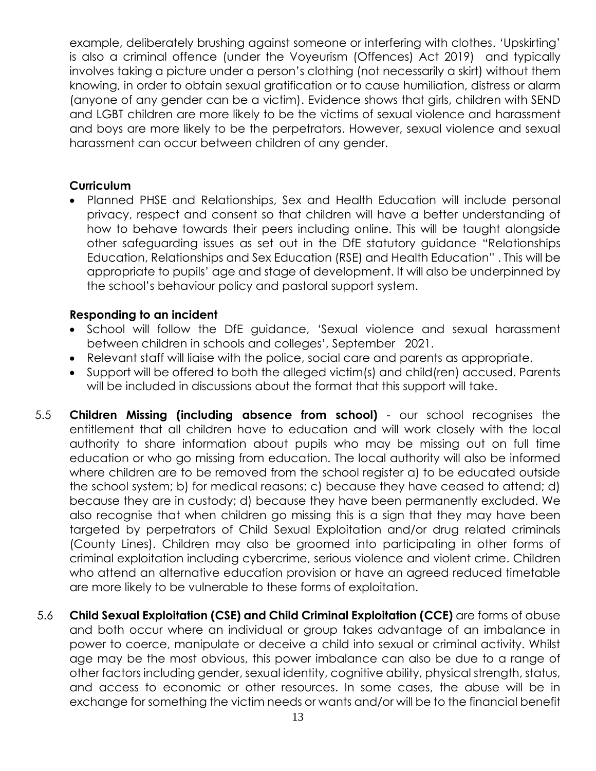example, deliberately brushing against someone or interfering with clothes. 'Upskirting' is also a criminal offence (under the Voyeurism (Offences) Act 2019) and typically involves taking a picture under a person's clothing (not necessarily a skirt) without them knowing, in order to obtain sexual gratification or to cause humiliation, distress or alarm (anyone of any gender can be a victim). Evidence shows that girls, children with SEND and LGBT children are more likely to be the victims of sexual violence and harassment and boys are more likely to be the perpetrators. However, sexual violence and sexual harassment can occur between children of any gender.

#### **Curriculum**

• Planned PHSE and Relationships, Sex and Health Education will include personal privacy, respect and consent so that children will have a better understanding of how to behave towards their peers including online. This will be taught alongside other safeguarding issues as set out in the DfE statutory guidance "Relationships Education, Relationships and Sex Education (RSE) and Health Education" . This will be appropriate to pupils' age and stage of development. It will also be underpinned by the school's behaviour policy and pastoral support system.

#### **Responding to an incident**

- School will follow the DfE guidance, 'Sexual violence and sexual harassment between children in schools and colleges', September 2021.
- Relevant staff will liaise with the police, social care and parents as appropriate.
- Support will be offered to both the alleged victim(s) and child(ren) accused. Parents will be included in discussions about the format that this support will take.
- 5.5 **Children Missing (including absence from school)** our school recognises the entitlement that all children have to education and will work closely with the local authority to share information about pupils who may be missing out on full time education or who go missing from education. The local authority will also be informed where children are to be removed from the school register a) to be educated outside the school system; b) for medical reasons; c) because they have ceased to attend; d) because they are in custody; d) because they have been permanently excluded. We also recognise that when children go missing this is a sign that they may have been targeted by perpetrators of Child Sexual Exploitation and/or drug related criminals (County Lines). Children may also be groomed into participating in other forms of criminal exploitation including cybercrime, serious violence and violent crime. Children who attend an alternative education provision or have an agreed reduced timetable are more likely to be vulnerable to these forms of exploitation.
- 5.6 **Child Sexual Exploitation (CSE) and Child Criminal Exploitation (CCE)** are forms of abuse and both occur where an individual or group takes advantage of an imbalance in power to coerce, manipulate or deceive a child into sexual or criminal activity. Whilst age may be the most obvious, this power imbalance can also be due to a range of other factors including gender, sexual identity, cognitive ability, physical strength, status, and access to economic or other resources. In some cases, the abuse will be in exchange for something the victim needs or wants and/or will be to the financial benefit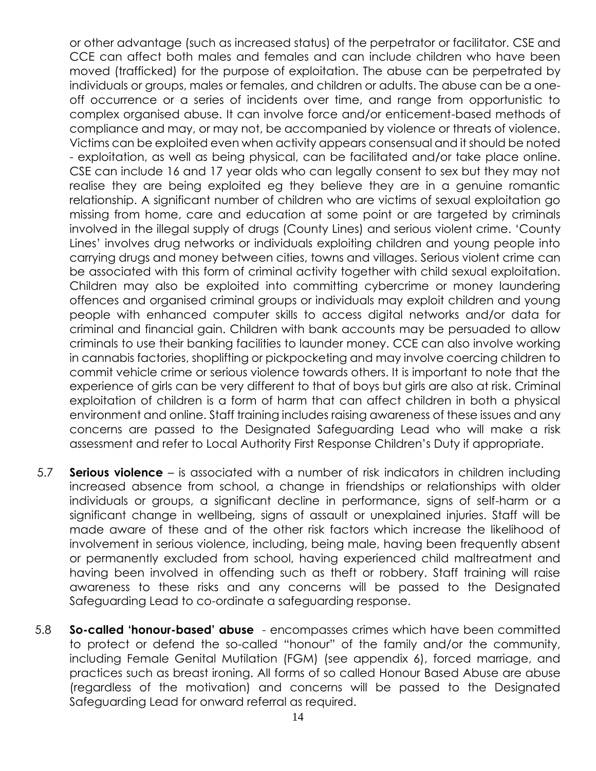or other advantage (such as increased status) of the perpetrator or facilitator. CSE and CCE can affect both males and females and can include children who have been moved (trafficked) for the purpose of exploitation. The abuse can be perpetrated by individuals or groups, males or females, and children or adults. The abuse can be a oneoff occurrence or a series of incidents over time, and range from opportunistic to complex organised abuse. It can involve force and/or enticement-based methods of compliance and may, or may not, be accompanied by violence or threats of violence. Victims can be exploited even when activity appears consensual and it should be noted - exploitation, as well as being physical, can be facilitated and/or take place online. CSE can include 16 and 17 year olds who can legally consent to sex but they may not realise they are being exploited eg they believe they are in a genuine romantic relationship. A significant number of children who are victims of sexual exploitation go missing from home, care and education at some point or are targeted by criminals involved in the illegal supply of drugs (County Lines) and serious violent crime. 'County Lines' involves drug networks or individuals exploiting children and young people into carrying drugs and money between cities, towns and villages. Serious violent crime can be associated with this form of criminal activity together with child sexual exploitation. Children may also be exploited into committing cybercrime or money laundering offences and organised criminal groups or individuals may exploit children and young people with enhanced computer skills to access digital networks and/or data for criminal and financial gain. Children with bank accounts may be persuaded to allow criminals to use their banking facilities to launder money. CCE can also involve working in cannabis factories, shoplifting or pickpocketing and may involve coercing children to commit vehicle crime or serious violence towards others. It is important to note that the experience of girls can be very different to that of boys but girls are also at risk. Criminal exploitation of children is a form of harm that can affect children in both a physical environment and online. Staff training includes raising awareness of these issues and any concerns are passed to the Designated Safeguarding Lead who will make a risk assessment and refer to Local Authority First Response Children's Duty if appropriate.

- 5.7 **Serious violence** is associated with a number of risk indicators in children including increased absence from school, a change in friendships or relationships with older individuals or groups, a significant decline in performance, signs of self-harm or a significant change in wellbeing, signs of assault or unexplained injuries. Staff will be made aware of these and of the other risk factors which increase the likelihood of involvement in serious violence, including, being male, having been frequently absent or permanently excluded from school, having experienced child maltreatment and having been involved in offending such as theft or robbery. Staff training will raise awareness to these risks and any concerns will be passed to the Designated Safeguarding Lead to co-ordinate a safeguarding response.
- 5.8 **So-called 'honour-based' abuse** encompasses crimes which have been committed to protect or defend the so-called "honour" of the family and/or the community, including Female Genital Mutilation (FGM) (see appendix 6), forced marriage, and practices such as breast ironing. All forms of so called Honour Based Abuse are abuse (regardless of the motivation) and concerns will be passed to the Designated Safeguarding Lead for onward referral as required.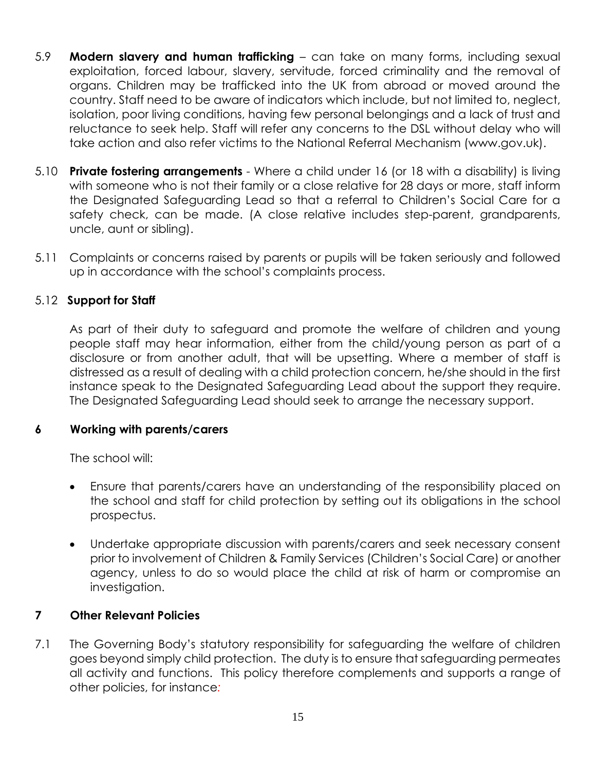- 5.9 **Modern slavery and human trafficking** can take on many forms, including sexual exploitation, forced labour, slavery, servitude, forced criminality and the removal of organs. Children may be trafficked into the UK from abroad or moved around the country. Staff need to be aware of indicators which include, but not limited to, neglect, isolation, poor living conditions, having few personal belongings and a lack of trust and reluctance to seek help. Staff will refer any concerns to the DSL without delay who will take action and also refer victims to the National Referral Mechanism (www.gov.uk).
- 5.10 **Private fostering arrangements** Where a child under 16 (or 18 with a disability) is living with someone who is not their family or a close relative for 28 days or more, staff inform the Designated Safeguarding Lead so that a referral to Children's Social Care for a safety check, can be made. (A close relative includes step-parent, grandparents, uncle, aunt or sibling).
- 5.11 Complaints or concerns raised by parents or pupils will be taken seriously and followed up in accordance with the school's complaints process.

# 5.12 **Support for Staff**

As part of their duty to safeguard and promote the welfare of children and young people staff may hear information, either from the child/young person as part of a disclosure or from another adult, that will be upsetting. Where a member of staff is distressed as a result of dealing with a child protection concern, he/she should in the first instance speak to the Designated Safeguarding Lead about the support they require. The Designated Safeguarding Lead should seek to arrange the necessary support.

#### **6 Working with parents/carers**

The school will:

- Ensure that parents/carers have an understanding of the responsibility placed on the school and staff for child protection by setting out its obligations in the school prospectus.
- Undertake appropriate discussion with parents/carers and seek necessary consent prior to involvement of Children & Family Services (Children's Social Care) or another agency, unless to do so would place the child at risk of harm or compromise an investigation.

#### **7 Other Relevant Policies**

7.1 The Governing Body's statutory responsibility for safeguarding the welfare of children goes beyond simply child protection. The duty is to ensure that safeguarding permeates all activity and functions. This policy therefore complements and supports a range of other policies, for instance*:*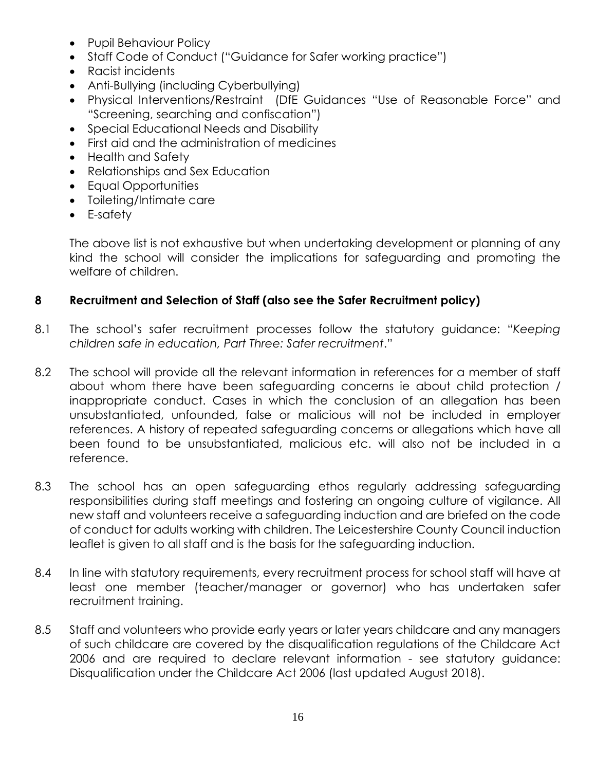- Pupil Behaviour Policy
- Staff Code of Conduct ("Guidance for Safer working practice")
- Racist incidents
- Anti-Bullying (including Cyberbullying)
- Physical Interventions/Restraint (DfE Guidances "Use of Reasonable Force" and "Screening, searching and confiscation")
- Special Educational Needs and Disability
- First aid and the administration of medicines
- Health and Safety
- Relationships and Sex Education
- Equal Opportunities
- Toileting/Intimate care
- E-safety

The above list is not exhaustive but when undertaking development or planning of any kind the school will consider the implications for safeguarding and promoting the welfare of children.

#### **8 Recruitment and Selection of Staff (also see the Safer Recruitment policy)**

- 8.1 The school's safer recruitment processes follow the statutory guidance: "*Keeping children safe in education, Part Three: Safer recruitment*."
- 8.2 The school will provide all the relevant information in references for a member of staff about whom there have been safeguarding concerns ie about child protection / inappropriate conduct. Cases in which the conclusion of an allegation has been unsubstantiated, unfounded, false or malicious will not be included in employer references. A history of repeated safeguarding concerns or allegations which have all been found to be unsubstantiated, malicious etc. will also not be included in a reference.
- 8.3 The school has an open safeguarding ethos regularly addressing safeguarding responsibilities during staff meetings and fostering an ongoing culture of vigilance. All new staff and volunteers receive a safeguarding induction and are briefed on the code of conduct for adults working with children. The Leicestershire County Council induction leaflet is given to all staff and is the basis for the safeguarding induction.
- 8.4 In line with statutory requirements, every recruitment process for school staff will have at least one member (teacher/manager or governor) who has undertaken safer recruitment training.
- 8.5 Staff and volunteers who provide early years or later years childcare and any managers of such childcare are covered by the disqualification regulations of the Childcare Act 2006 and are required to declare relevant information - see statutory guidance: Disqualification under the Childcare Act 2006 (last updated August 2018).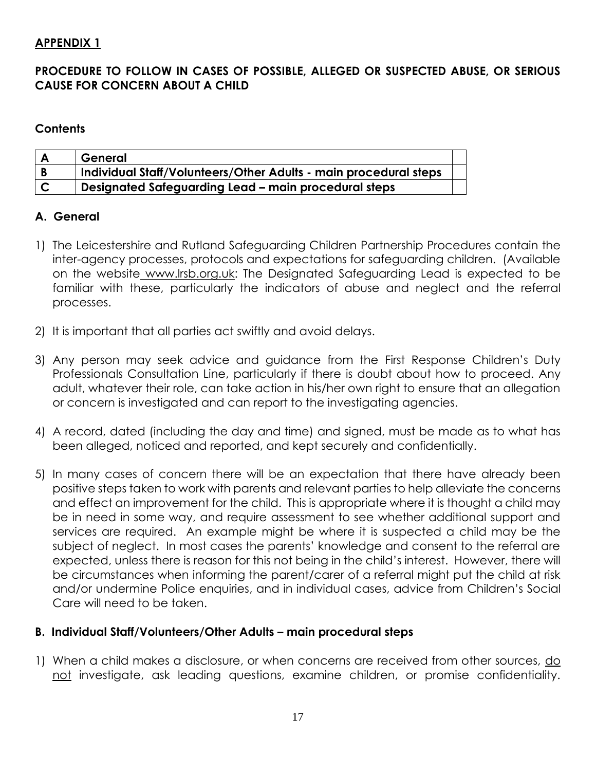#### **APPENDIX 1**

#### **PROCEDURE TO FOLLOW IN CASES OF POSSIBLE, ALLEGED OR SUSPECTED ABUSE, OR SERIOUS CAUSE FOR CONCERN ABOUT A CHILD**

#### **Contents**

|     | General                                                          |  |
|-----|------------------------------------------------------------------|--|
| - B | Individual Staff/Volunteers/Other Adults - main procedural steps |  |
|     | $^\dagger$ Designated Safeguarding Lead – main procedural steps  |  |

#### **A. General**

- 1) The Leicestershire and Rutland Safeguarding Children Partnership Procedures contain the inter-agency processes, protocols and expectations for safeguarding children. (Available on the website www.lrsb.org.uk: The Designated Safeguarding Lead is expected to be familiar with these, particularly the indicators of abuse and neglect and the referral processes.
- 2) It is important that all parties act swiftly and avoid delays.
- 3) Any person may seek advice and guidance from the First Response Children's Duty Professionals Consultation Line, particularly if there is doubt about how to proceed. Any adult, whatever their role, can take action in his/her own right to ensure that an allegation or concern is investigated and can report to the investigating agencies.
- 4) A record, dated (including the day and time) and signed, must be made as to what has been alleged, noticed and reported, and kept securely and confidentially.
- 5) In many cases of concern there will be an expectation that there have already been positive steps taken to work with parents and relevant parties to help alleviate the concerns and effect an improvement for the child. This is appropriate where it is thought a child may be in need in some way, and require assessment to see whether additional support and services are required. An example might be where it is suspected a child may be the subject of neglect. In most cases the parents' knowledge and consent to the referral are expected, unless there is reason for this not being in the child's interest. However, there will be circumstances when informing the parent/carer of a referral might put the child at risk and/or undermine Police enquiries, and in individual cases, advice from Children's Social Care will need to be taken.

#### **B. Individual Staff/Volunteers/Other Adults – main procedural steps**

1) When a child makes a disclosure, or when concerns are received from other sources, do not investigate, ask leading questions, examine children, or promise confidentiality.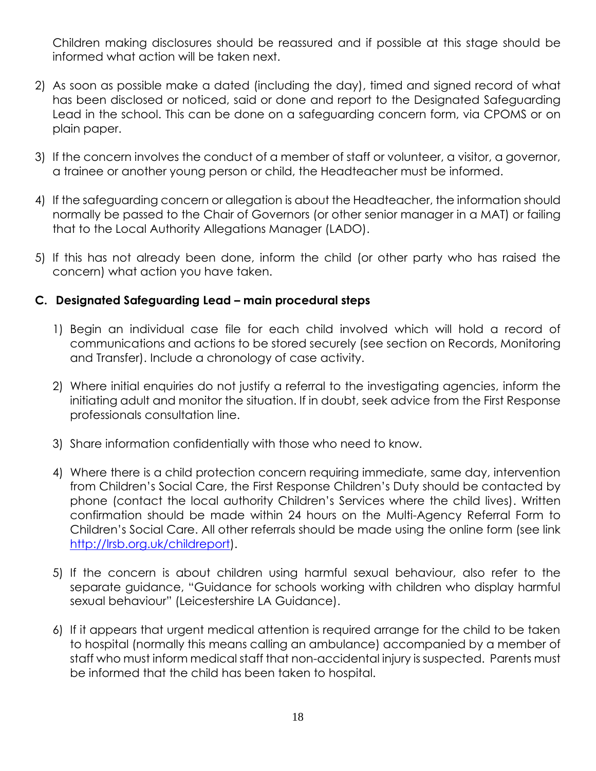Children making disclosures should be reassured and if possible at this stage should be informed what action will be taken next.

- 2) As soon as possible make a dated (including the day), timed and signed record of what has been disclosed or noticed, said or done and report to the Designated Safeguarding Lead in the school. This can be done on a safeguarding concern form, via CPOMS or on plain paper.
- 3) If the concern involves the conduct of a member of staff or volunteer, a visitor, a governor, a trainee or another young person or child, the Headteacher must be informed.
- 4) If the safeguarding concern or allegation is about the Headteacher, the information should normally be passed to the Chair of Governors (or other senior manager in a MAT) or failing that to the Local Authority Allegations Manager (LADO).
- 5) If this has not already been done, inform the child (or other party who has raised the concern) what action you have taken.

#### **C. Designated Safeguarding Lead – main procedural steps**

- 1) Begin an individual case file for each child involved which will hold a record of communications and actions to be stored securely (see section on Records, Monitoring and Transfer). Include a chronology of case activity.
- 2) Where initial enquiries do not justify a referral to the investigating agencies, inform the initiating adult and monitor the situation. If in doubt, seek advice from the First Response professionals consultation line.
- 3) Share information confidentially with those who need to know.
- 4) Where there is a child protection concern requiring immediate, same day, intervention from Children's Social Care, the First Response Children's Duty should be contacted by phone (contact the local authority Children's Services where the child lives). Written confirmation should be made within 24 hours on the Multi-Agency Referral Form to Children's Social Care. All other referrals should be made using the online form (see link [http://lrsb.org.uk/childreport\)](http://lrsb.org.uk/childreport).
- 5) If the concern is about children using harmful sexual behaviour, also refer to the separate guidance, "Guidance for schools working with children who display harmful sexual behaviour" (Leicestershire LA Guidance).
- 6) If it appears that urgent medical attention is required arrange for the child to be taken to hospital (normally this means calling an ambulance) accompanied by a member of staff who must inform medical staff that non-accidental injury is suspected. Parents must be informed that the child has been taken to hospital.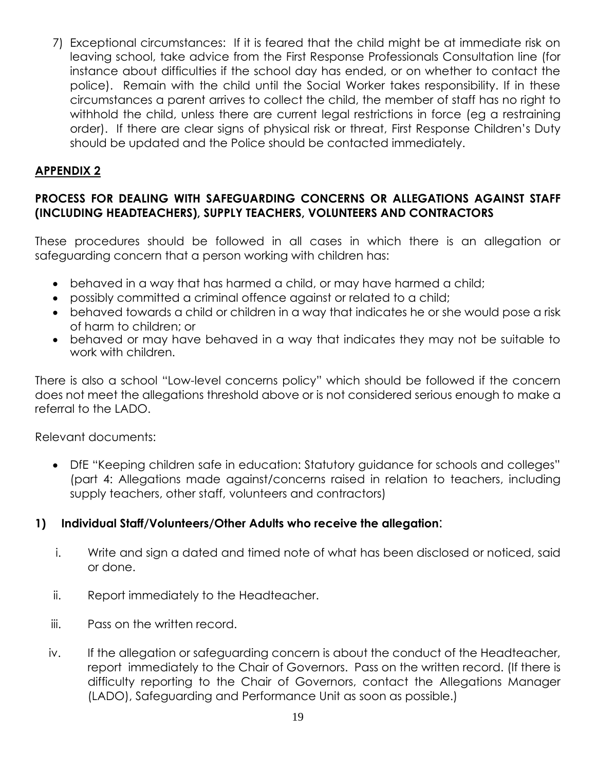7) Exceptional circumstances: If it is feared that the child might be at immediate risk on leaving school, take advice from the First Response Professionals Consultation line (for instance about difficulties if the school day has ended, or on whether to contact the police). Remain with the child until the Social Worker takes responsibility. If in these circumstances a parent arrives to collect the child, the member of staff has no right to withhold the child, unless there are current legal restrictions in force (eg a restraining order). If there are clear signs of physical risk or threat, First Response Children's Duty should be updated and the Police should be contacted immediately.

# **APPENDIX 2**

#### **PROCESS FOR DEALING WITH SAFEGUARDING CONCERNS OR ALLEGATIONS AGAINST STAFF (INCLUDING HEADTEACHERS), SUPPLY TEACHERS, VOLUNTEERS AND CONTRACTORS**

These procedures should be followed in all cases in which there is an allegation or safeguarding concern that a person working with children has:

- behaved in a way that has harmed a child, or may have harmed a child;
- possibly committed a criminal offence against or related to a child;
- behaved towards a child or children in a way that indicates he or she would pose a risk of harm to children; or
- behaved or may have behaved in a way that indicates they may not be suitable to work with children.

There is also a school "Low-level concerns policy" which should be followed if the concern does not meet the allegations threshold above or is not considered serious enough to make a referral to the LADO.

Relevant documents:

• DfE "Keeping children safe in education: Statutory guidance for schools and colleges" (part 4: Allegations made against/concerns raised in relation to teachers, including supply teachers, other staff, volunteers and contractors)

# **1) Individual Staff/Volunteers/Other Adults who receive the allegation**:

- i. Write and sign a dated and timed note of what has been disclosed or noticed, said or done.
- ii. Report immediately to the Headteacher.
- iii. Pass on the written record.
- iv. If the allegation or safeguarding concern is about the conduct of the Headteacher, report immediately to the Chair of Governors. Pass on the written record. (If there is difficulty reporting to the Chair of Governors, contact the Allegations Manager (LADO), Safeguarding and Performance Unit as soon as possible.)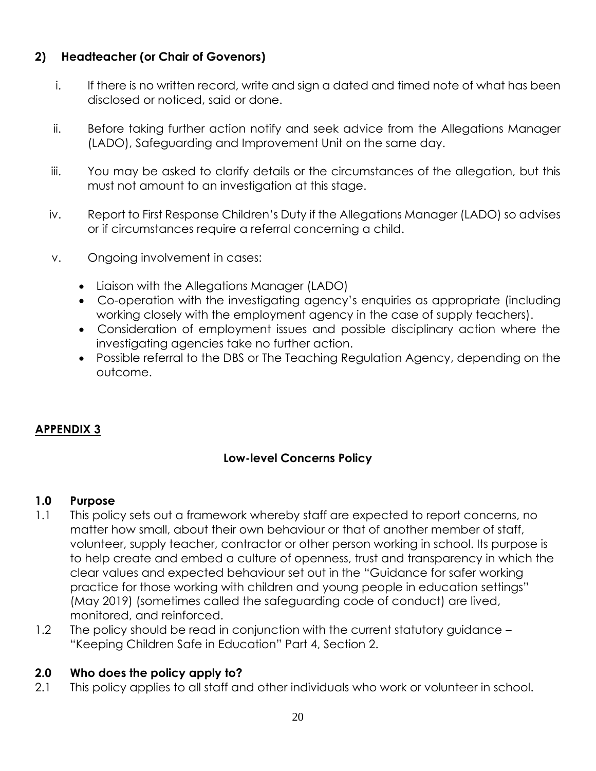# **2) Headteacher (or Chair of Govenors)**

- i. If there is no written record, write and sign a dated and timed note of what has been disclosed or noticed, said or done.
- ii. Before taking further action notify and seek advice from the Allegations Manager (LADO), Safeguarding and Improvement Unit on the same day.
- iii. You may be asked to clarify details or the circumstances of the allegation, but this must not amount to an investigation at this stage.
- iv. Report to First Response Children's Duty if the Allegations Manager (LADO) so advises or if circumstances require a referral concerning a child.
- v. Ongoing involvement in cases:
	- Liaison with the Allegations Manager (LADO)
	- Co-operation with the investigating agency's enquiries as appropriate (including working closely with the employment agency in the case of supply teachers).
	- Consideration of employment issues and possible disciplinary action where the investigating agencies take no further action.
	- Possible referral to the DBS or The Teaching Regulation Agency, depending on the outcome.

# **APPENDIX 3**

# **Low-level Concerns Policy**

#### **1.0 Purpose**

- 1.1 This policy sets out a framework whereby staff are expected to report concerns, no matter how small, about their own behaviour or that of another member of staff, volunteer, supply teacher, contractor or other person working in school. Its purpose is to help create and embed a culture of openness, trust and transparency in which the clear values and expected behaviour set out in the "Guidance for safer working practice for those working with children and young people in education settings" (May 2019) (sometimes called the safeguarding code of conduct) are lived, monitored, and reinforced.
- 1.2 The policy should be read in conjunction with the current statutory guidance -"Keeping Children Safe in Education" Part 4, Section 2.

#### **2.0 Who does the policy apply to?**

2.1 This policy applies to all staff and other individuals who work or volunteer in school.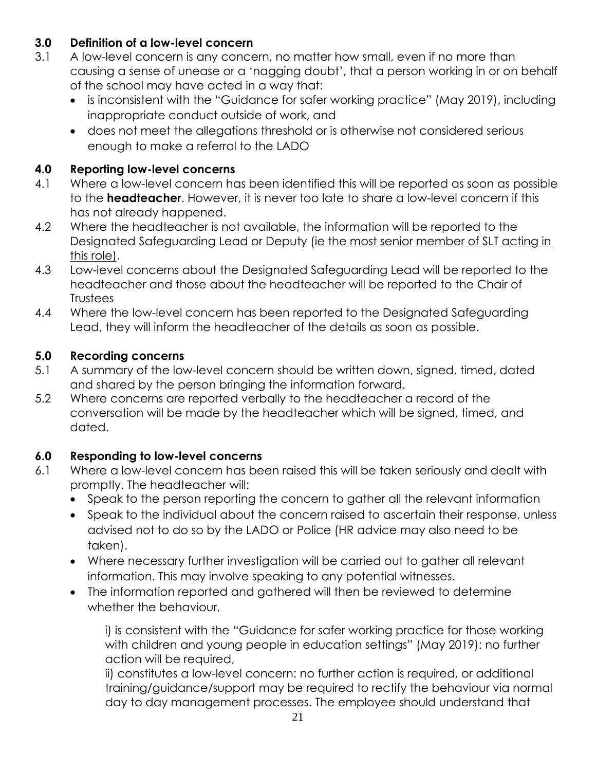# **3.0 Definition of a low-level concern**

- 3.1 A low-level concern is any concern, no matter how small, even if no more than causing a sense of unease or a 'nagging doubt', that a person working in or on behalf of the school may have acted in a way that:
	- is inconsistent with the "Guidance for safer working practice" (May 2019), including inappropriate conduct outside of work, and
	- does not meet the allegations threshold or is otherwise not considered serious enough to make a referral to the LADO

# **4.0 Reporting low-level concerns**

- 4.1 Where a low-level concern has been identified this will be reported as soon as possible to the **headteacher**. However, it is never too late to share a low-level concern if this has not already happened.
- 4.2 Where the headteacher is not available, the information will be reported to the Designated Safeguarding Lead or Deputy (ie the most senior member of SLT acting in this role).
- 4.3 Low-level concerns about the Designated Safeguarding Lead will be reported to the headteacher and those about the headteacher will be reported to the Chair of **Trustees**
- 4.4 Where the low-level concern has been reported to the Designated Safeguarding Lead, they will inform the headteacher of the details as soon as possible.

# **5.0 Recording concerns**

- 5.1 A summary of the low-level concern should be written down, signed, timed, dated and shared by the person bringing the information forward.
- 5.2 Where concerns are reported verbally to the headteacher a record of the conversation will be made by the headteacher which will be signed, timed, and dated.

# **6.0 Responding to low-level concerns**

- 6.1 Where a low-level concern has been raised this will be taken seriously and dealt with promptly. The headteacher will:
	- Speak to the person reporting the concern to gather all the relevant information
	- Speak to the individual about the concern raised to ascertain their response, unless advised not to do so by the LADO or Police (HR advice may also need to be taken).
	- Where necessary further investigation will be carried out to gather all relevant information. This may involve speaking to any potential witnesses.
	- The information reported and gathered will then be reviewed to determine whether the behaviour,

i) is consistent with the "Guidance for safer working practice for those working with children and young people in education settings" (May 2019): no further action will be required,

ii) constitutes a low-level concern: no further action is required, or additional training/guidance/support may be required to rectify the behaviour via normal day to day management processes. The employee should understand that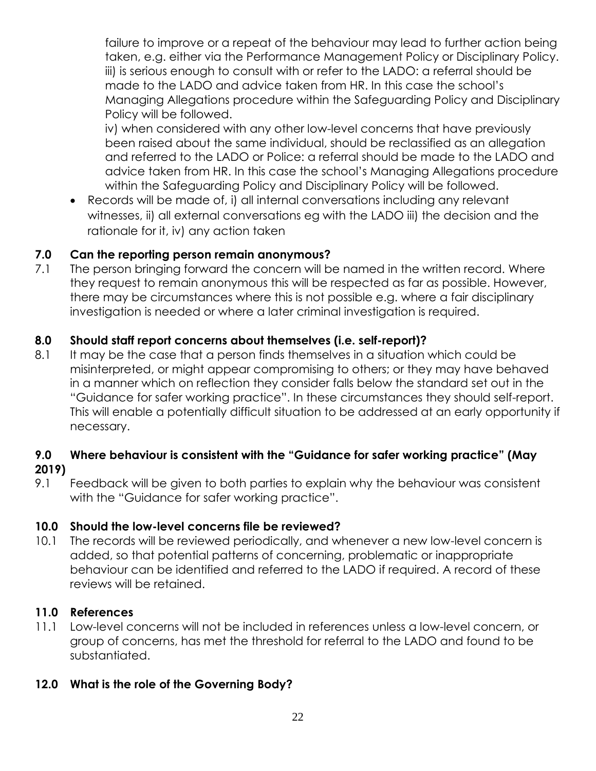failure to improve or a repeat of the behaviour may lead to further action being taken, e.g. either via the Performance Management Policy or Disciplinary Policy. iii) is serious enough to consult with or refer to the LADO: a referral should be made to the LADO and advice taken from HR. In this case the school's Managing Allegations procedure within the Safeguarding Policy and Disciplinary Policy will be followed.

iv) when considered with any other low-level concerns that have previously been raised about the same individual, should be reclassified as an allegation and referred to the LADO or Police: a referral should be made to the LADO and advice taken from HR. In this case the school's Managing Allegations procedure within the Safeguarding Policy and Disciplinary Policy will be followed.

• Records will be made of, i) all internal conversations including any relevant witnesses, ii) all external conversations eg with the LADO iii) the decision and the rationale for it, iv) any action taken

# **7.0 Can the reporting person remain anonymous?**

7.1 The person bringing forward the concern will be named in the written record. Where they request to remain anonymous this will be respected as far as possible. However, there may be circumstances where this is not possible e.g. where a fair disciplinary investigation is needed or where a later criminal investigation is required.

# **8.0 Should staff report concerns about themselves (i.e. self-report)?**

8.1 It may be the case that a person finds themselves in a situation which could be misinterpreted, or might appear compromising to others; or they may have behaved in a manner which on reflection they consider falls below the standard set out in the "Guidance for safer working practice". In these circumstances they should self-report. This will enable a potentially difficult situation to be addressed at an early opportunity if necessary.

#### **9.0 Where behaviour is consistent with the "Guidance for safer working practice" (May 2019)**

9.1 Feedback will be given to both parties to explain why the behaviour was consistent with the "Guidance for safer working practice".

# **10.0 Should the low-level concerns file be reviewed?**

10.1 The records will be reviewed periodically, and whenever a new low-level concern is added, so that potential patterns of concerning, problematic or inappropriate behaviour can be identified and referred to the LADO if required. A record of these reviews will be retained.

#### **11.0 References**

11.1 Low-level concerns will not be included in references unless a low-level concern, or group of concerns, has met the threshold for referral to the LADO and found to be substantiated.

# **12.0 What is the role of the Governing Body?**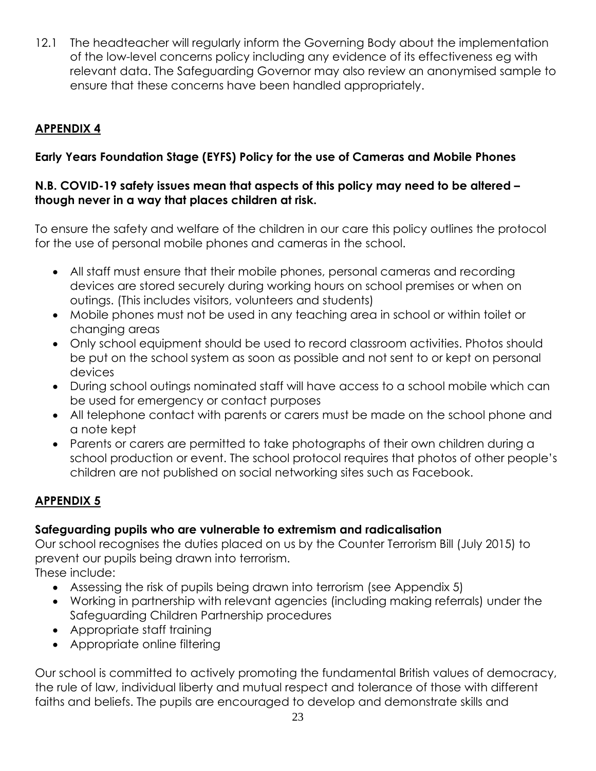12.1 The headteacher will regularly inform the Governing Body about the implementation of the low-level concerns policy including any evidence of its effectiveness eg with relevant data. The Safeguarding Governor may also review an anonymised sample to ensure that these concerns have been handled appropriately.

# **APPENDIX 4**

# **Early Years Foundation Stage (EYFS) Policy for the use of Cameras and Mobile Phones**

#### **N.B. COVID-19 safety issues mean that aspects of this policy may need to be altered – though never in a way that places children at risk.**

To ensure the safety and welfare of the children in our care this policy outlines the protocol for the use of personal mobile phones and cameras in the school.

- All staff must ensure that their mobile phones, personal cameras and recording devices are stored securely during working hours on school premises or when on outings. (This includes visitors, volunteers and students)
- Mobile phones must not be used in any teaching area in school or within toilet or changing areas
- Only school equipment should be used to record classroom activities. Photos should be put on the school system as soon as possible and not sent to or kept on personal devices
- During school outings nominated staff will have access to a school mobile which can be used for emergency or contact purposes
- All telephone contact with parents or carers must be made on the school phone and a note kept
- Parents or carers are permitted to take photographs of their own children during a school production or event. The school protocol requires that photos of other people's children are not published on social networking sites such as Facebook.

# **APPENDIX 5**

# **Safeguarding pupils who are vulnerable to extremism and radicalisation**

Our school recognises the duties placed on us by the Counter Terrorism Bill (July 2015) to prevent our pupils being drawn into terrorism.

These include:

- Assessing the risk of pupils being drawn into terrorism (see Appendix 5)
- Working in partnership with relevant agencies (including making referrals) under the Safeguarding Children Partnership procedures
- Appropriate staff training
- Appropriate online filtering

Our school is committed to actively promoting the fundamental British values of democracy, the rule of law, individual liberty and mutual respect and tolerance of those with different faiths and beliefs. The pupils are encouraged to develop and demonstrate skills and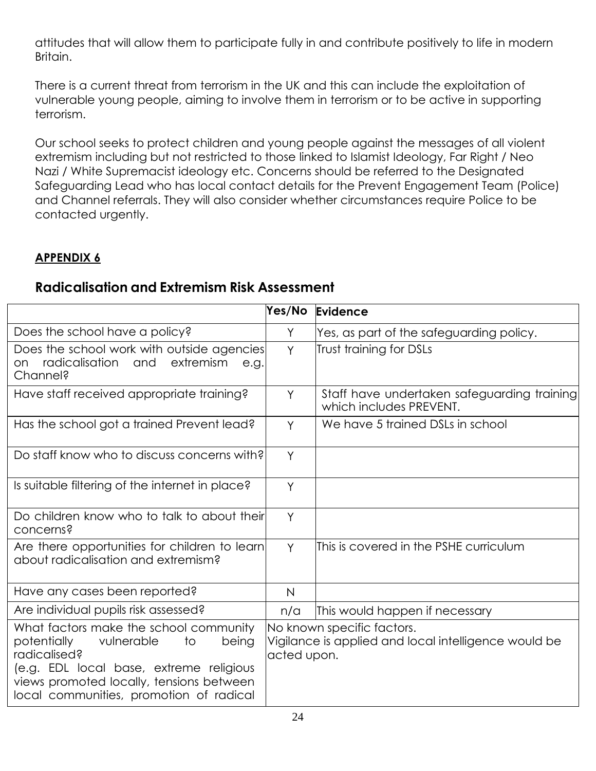attitudes that will allow them to participate fully in and contribute positively to life in modern Britain.

There is a current threat from terrorism in the UK and this can include the exploitation of vulnerable young people, aiming to involve them in terrorism or to be active in supporting terrorism.

Our school seeks to protect children and young people against the messages of all violent extremism including but not restricted to those linked to Islamist Ideology, Far Right / Neo Nazi / White Supremacist ideology etc. Concerns should be referred to the Designated Safeguarding Lead who has local contact details for the Prevent Engagement Team (Police) and Channel referrals. They will also consider whether circumstances require Police to be contacted urgently.

# **APPENDIX 6**

# **Radicalisation and Extremism Risk Assessment**

|                                                                                                                                                                                                                                      | Yes/No       | Evidence                                                                           |
|--------------------------------------------------------------------------------------------------------------------------------------------------------------------------------------------------------------------------------------|--------------|------------------------------------------------------------------------------------|
| Does the school have a policy?                                                                                                                                                                                                       | Y            | Yes, as part of the safeguarding policy.                                           |
| Does the school work with outside agencies<br>extremism<br>radicalisation and<br>e.g.<br>on<br>Channel?                                                                                                                              | Y            | Trust training for DSLs                                                            |
| Have staff received appropriate training?                                                                                                                                                                                            | Y            | Staff have undertaken safeguarding training<br>which includes PREVENT.             |
| Has the school got a trained Prevent lead?                                                                                                                                                                                           | Y            | We have 5 trained DSLs in school                                                   |
| Do staff know who to discuss concerns with?                                                                                                                                                                                          | Y            |                                                                                    |
| Is suitable filtering of the internet in place?                                                                                                                                                                                      | Y            |                                                                                    |
| Do children know who to talk to about their<br>concerns?                                                                                                                                                                             | Y            |                                                                                    |
| Are there opportunities for children to learn<br>about radicalisation and extremism?                                                                                                                                                 | Y            | This is covered in the PSHE curriculum                                             |
| Have any cases been reported?                                                                                                                                                                                                        | $\mathsf{N}$ |                                                                                    |
| Are individual pupils risk assessed?                                                                                                                                                                                                 | n/a          | This would happen if necessary                                                     |
| What factors make the school community<br>potentially<br>vulnerable<br>being<br>to<br>radicalised?<br>(e.g. EDL local base, extreme religious<br>views promoted locally, tensions between<br>local communities, promotion of radical | acted upon.  | No known specific factors.<br>Vigilance is applied and local intelligence would be |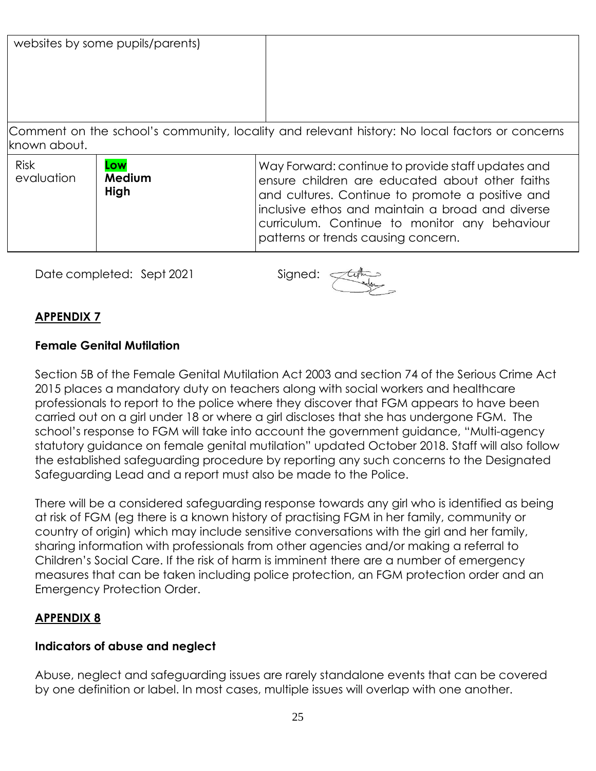|                           | websites by some pupils/parents) |                                                                                                                                                                                                                                                                                                       |
|---------------------------|----------------------------------|-------------------------------------------------------------------------------------------------------------------------------------------------------------------------------------------------------------------------------------------------------------------------------------------------------|
| known about.              |                                  | Comment on the school's community, locality and relevant history: No local factors or concerns                                                                                                                                                                                                        |
| <b>Risk</b><br>evaluation | Low<br>Medium<br><b>High</b>     | Way Forward: continue to provide staff updates and<br>ensure children are educated about other faiths<br>and cultures. Continue to promote a positive and<br>inclusive ethos and maintain a broad and diverse<br>curriculum. Continue to monitor any behaviour<br>patterns or trends causing concern. |

Date completed: Sept 2021 Signed:

# **APPENDIX 7**

#### **Female Genital Mutilation**

Section 5B of the Female Genital Mutilation Act 2003 and section 74 of the Serious Crime Act 2015 places a mandatory duty on teachers along with social workers and healthcare professionals to report to the police where they discover that FGM appears to have been carried out on a girl under 18 or where a girl discloses that she has undergone FGM. The school's response to FGM will take into account the government guidance, "Multi-agency statutory guidance on female genital mutilation" updated October 2018. Staff will also follow the established safeguarding procedure by reporting any such concerns to the Designated Safeguarding Lead and a report must also be made to the Police.

There will be a considered safeguarding response towards any girl who is identified as being at risk of FGM (eg there is a known history of practising FGM in her family, community or country of origin) which may include sensitive conversations with the girl and her family, sharing information with professionals from other agencies and/or making a referral to Children's Social Care. If the risk of harm is imminent there are a number of emergency measures that can be taken including police protection, an FGM protection order and an Emergency Protection Order.

# **APPENDIX 8**

#### **Indicators of abuse and neglect**

Abuse, neglect and safeguarding issues are rarely standalone events that can be covered by one definition or label. In most cases, multiple issues will overlap with one another.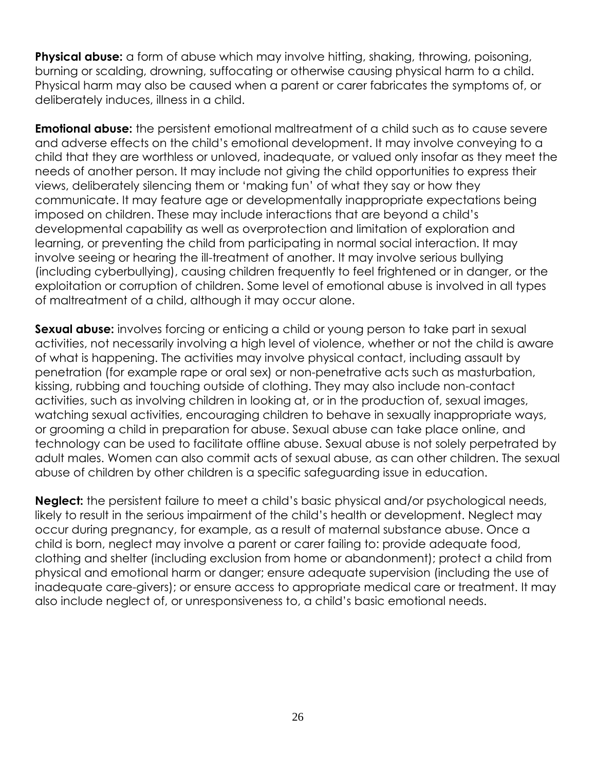**Physical abuse:** a form of abuse which may involve hitting, shaking, throwing, poisoning, burning or scalding, drowning, suffocating or otherwise causing physical harm to a child. Physical harm may also be caused when a parent or carer fabricates the symptoms of, or deliberately induces, illness in a child.

**Emotional abuse:** the persistent emotional maltreatment of a child such as to cause severe and adverse effects on the child's emotional development. It may involve conveying to a child that they are worthless or unloved, inadequate, or valued only insofar as they meet the needs of another person. It may include not giving the child opportunities to express their views, deliberately silencing them or 'making fun' of what they say or how they communicate. It may feature age or developmentally inappropriate expectations being imposed on children. These may include interactions that are beyond a child's developmental capability as well as overprotection and limitation of exploration and learning, or preventing the child from participating in normal social interaction. It may involve seeing or hearing the ill-treatment of another. It may involve serious bullying (including cyberbullying), causing children frequently to feel frightened or in danger, or the exploitation or corruption of children. Some level of emotional abuse is involved in all types of maltreatment of a child, although it may occur alone.

**Sexual abuse:** involves forcing or enticing a child or young person to take part in sexual activities, not necessarily involving a high level of violence, whether or not the child is aware of what is happening. The activities may involve physical contact, including assault by penetration (for example rape or oral sex) or non-penetrative acts such as masturbation, kissing, rubbing and touching outside of clothing. They may also include non-contact activities, such as involving children in looking at, or in the production of, sexual images, watching sexual activities, encouraging children to behave in sexually inappropriate ways, or grooming a child in preparation for abuse. Sexual abuse can take place online, and technology can be used to facilitate offline abuse. Sexual abuse is not solely perpetrated by adult males. Women can also commit acts of sexual abuse, as can other children. The sexual abuse of children by other children is a specific safeguarding issue in education.

**Neglect:** the persistent failure to meet a child's basic physical and/or psychological needs, likely to result in the serious impairment of the child's health or development. Neglect may occur during pregnancy, for example, as a result of maternal substance abuse. Once a child is born, neglect may involve a parent or carer failing to: provide adequate food, clothing and shelter (including exclusion from home or abandonment); protect a child from physical and emotional harm or danger; ensure adequate supervision (including the use of inadequate care-givers); or ensure access to appropriate medical care or treatment. It may also include neglect of, or unresponsiveness to, a child's basic emotional needs.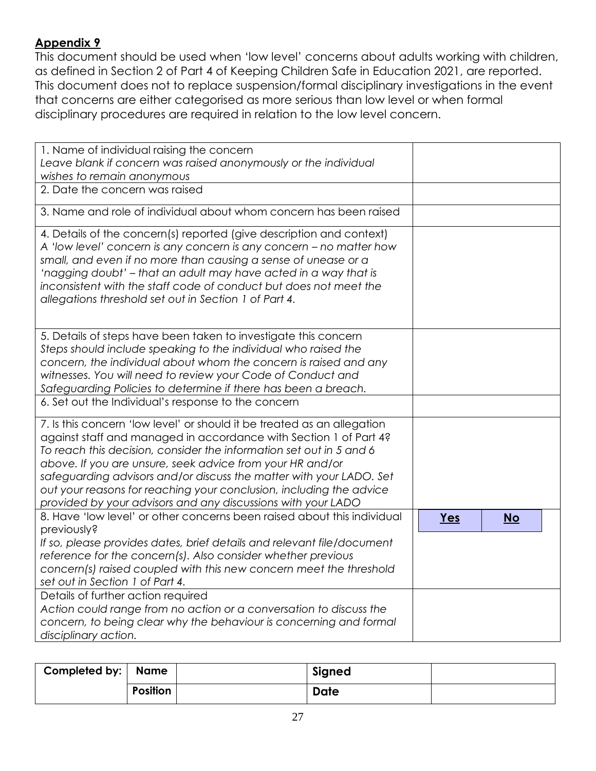# **Appendix 9**

This document should be used when 'low level' concerns about adults working with children, as defined in Section 2 of Part 4 of Keeping Children Safe in Education 2021, are reported. This document does not to replace suspension/formal disciplinary investigations in the event that concerns are either categorised as more serious than low level or when formal disciplinary procedures are required in relation to the low level concern.

| 1. Name of individual raising the concern<br>Leave blank if concern was raised anonymously or the individual                                                                                                                                                                                                                                                                                                                                                                                   |     |           |  |
|------------------------------------------------------------------------------------------------------------------------------------------------------------------------------------------------------------------------------------------------------------------------------------------------------------------------------------------------------------------------------------------------------------------------------------------------------------------------------------------------|-----|-----------|--|
| wishes to remain anonymous<br>2. Date the concern was raised                                                                                                                                                                                                                                                                                                                                                                                                                                   |     |           |  |
| 3. Name and role of individual about whom concern has been raised                                                                                                                                                                                                                                                                                                                                                                                                                              |     |           |  |
|                                                                                                                                                                                                                                                                                                                                                                                                                                                                                                |     |           |  |
| 4. Details of the concern(s) reported (give description and context)<br>A 'low level' concern is any concern is any concern - no matter how<br>small, and even if no more than causing a sense of unease or a<br>'nagging doubt' – that an adult may have acted in a way that is<br>inconsistent with the staff code of conduct but does not meet the<br>allegations threshold set out in Section 1 of Part 4.                                                                                 |     |           |  |
| 5. Details of steps have been taken to investigate this concern<br>Steps should include speaking to the individual who raised the<br>concern, the individual about whom the concern is raised and any<br>witnesses. You will need to review your Code of Conduct and<br>Safeguarding Policies to determine if there has been a breach.<br>6. Set out the Individual's response to the concern                                                                                                  |     |           |  |
|                                                                                                                                                                                                                                                                                                                                                                                                                                                                                                |     |           |  |
| 7. Is this concern 'low level' or should it be treated as an allegation<br>against staff and managed in accordance with Section 1 of Part 4?<br>To reach this decision, consider the information set out in 5 and 6<br>above. If you are unsure, seek advice from your HR and/or<br>safeguarding advisors and/or discuss the matter with your LADO. Set<br>out your reasons for reaching your conclusion, including the advice<br>provided by your advisors and any discussions with your LADO |     |           |  |
| 8. Have 'low level' or other concerns been raised about this individual                                                                                                                                                                                                                                                                                                                                                                                                                        | Yes | <b>No</b> |  |
| previously?<br>If so, please provides dates, brief details and relevant file/document<br>reference for the concern(s). Also consider whether previous<br>concern(s) raised coupled with this new concern meet the threshold<br>set out in Section 1 of Part 4.                                                                                                                                                                                                                                 |     |           |  |
| Details of further action required<br>Action could range from no action or a conversation to discuss the<br>concern, to being clear why the behaviour is concerning and formal<br>disciplinary action.                                                                                                                                                                                                                                                                                         |     |           |  |

| Completed by:   Name |          | Signed      |  |
|----------------------|----------|-------------|--|
|                      | Position | <b>Date</b> |  |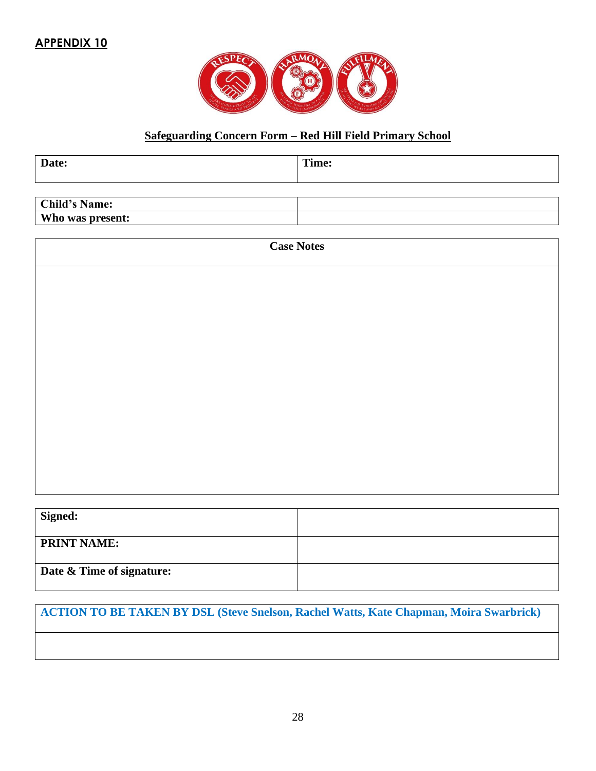# **APPENDIX 10**

**Date & Time of signature:**



#### **Safeguarding Concern Form – Red Hill Field Primary School**

| Date:                | Time: |
|----------------------|-------|
|                      |       |
| <b>Child's Name:</b> |       |
| Who was present:     |       |

| <b>Case Notes</b>  |  |
|--------------------|--|
|                    |  |
|                    |  |
|                    |  |
|                    |  |
|                    |  |
|                    |  |
|                    |  |
|                    |  |
|                    |  |
|                    |  |
| Signed:            |  |
| <b>PRINT NAME:</b> |  |

**ACTION TO BE TAKEN BY DSL (Steve Snelson, Rachel Watts, Kate Chapman, Moira Swarbrick)**